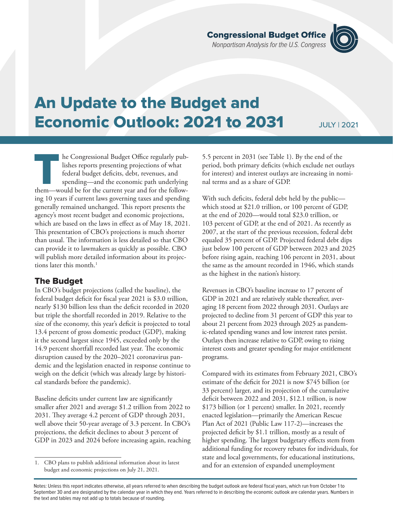The Congressional Budget Office regularly pub-<br>
lishes reports presenting projections of what<br>
federal budget deficits, debt, revenues, and<br>
spending—and the economic path underlying<br>
them—would be for the current year and lishes reports presenting projections of what federal budget deficits, debt, revenues, and spending—and the economic path underlying ing 10 years if current laws governing taxes and spending generally remained unchanged. This report presents the agency's most recent budget and economic projections, which are based on the laws in effect as of May 18, 2021. This presentation of CBO's projections is much shorter than usual. The information is less detailed so that CBO can provide it to lawmakers as quickly as possible. CBO will publish more detailed information about its projections later this month.<sup>1</sup>

## The Budget

In CBO's budget projections (called the baseline), the federal budget deficit for fiscal year 2021 is \$3.0 trillion, nearly \$130 billion less than the deficit recorded in 2020 but triple the shortfall recorded in 2019. Relative to the size of the economy, this year's deficit is projected to total 13.4 percent of gross domestic product (GDP), making it the second largest since 1945, exceeded only by the 14.9 percent shortfall recorded last year. The economic disruption caused by the 2020–2021 coronavirus pandemic and the legislation enacted in response continue to weigh on the deficit (which was already large by historical standards before the pandemic).

Baseline deficits under current law are significantly smaller after 2021 and average \$1.2 trillion from 2022 to 2031. They average 4.2 percent of GDP through 2031, well above their 50-year average of 3.3 percent. In CBO's projections, the deficit declines to about 3 percent of GDP in 2023 and 2024 before increasing again, reaching

5.5 percent in 2031 (see [Table 1](#page-1-0)). By the end of the period, both primary deficits (which exclude net outlays for interest) and interest outlays are increasing in nominal terms and as a share of GDP.

With such deficits, federal debt held by the publicwhich stood at \$21.0 trillion, or 100 percent of GDP, at the end of 2020—would total \$23.0 trillion, or 103 percent of GDP, at the end of 2021. As recently as 2007, at the start of the previous recession, federal debt equaled 35 percent of GDP. Projected federal debt dips just below 100 percent of GDP between 2023 and 2025 before rising again, reaching 106 percent in 2031, about the same as the amount recorded in 1946, which stands as the highest in the nation's history.

Revenues in CBO's baseline increase to 17 percent of GDP in 2021 and are relatively stable thereafter, averaging 18 percent from 2022 through 2031. Outlays are projected to decline from 31 percent of GDP this year to about 21 percent from 2023 through 2025 as pandemic-related spending wanes and low interest rates persist. Outlays then increase relative to GDP, owing to rising interest costs and greater spending for major entitlement programs.

Compared with its estimates from February 2021, CBO's estimate of the deficit for 2021 is now \$745 billion (or 33 percent) larger, and its projection of the cumulative deficit between 2022 and 2031, \$12.1 trillion, is now \$173 billion (or 1 percent) smaller. In 2021, recently enacted legislation—primarily the American Rescue Plan Act of 2021 (Public Law 117-2)—increases the projected deficit by \$1.1 trillion, mostly as a result of higher spending. The largest budgetary effects stem from additional funding for recovery rebates for individuals, for state and local governments, for educational institutions, and for an extension of expanded unemployment

# An Update to the Budget and Economic Outlook: 2021 to 2031

JULY | 2021



<sup>1.</sup> CBO plans to publish additional information about its latest budget and economic projections on July 21, 2021.

Notes: Unless this report indicates otherwise, all years referred to when describing the budget outlook are federal fiscal years, which run from October 1 to September 30 and are designated by the calendar year in which they end. Years referred to in describing the economic outlook are calendar years. Numbers in the text and tables may not add up to totals because of rounding.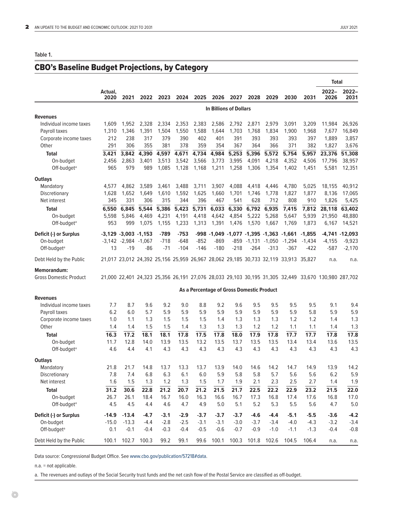#### <span id="page-1-0"></span>**Table 1.**

## CBO's Baseline Budget Projections, by Category

|                               |                               |                          |                        |        |        |        |                                           |        |                   |          |                                                                                     |          | <b>Total</b>                                                                                        |                   |
|-------------------------------|-------------------------------|--------------------------|------------------------|--------|--------|--------|-------------------------------------------|--------|-------------------|----------|-------------------------------------------------------------------------------------|----------|-----------------------------------------------------------------------------------------------------|-------------------|
|                               | Actual,<br>2020               | 2021                     | 2022                   | 2023   | 2024   | 2025   | 2026                                      | 2027   | 2028              | 2029     | 2030                                                                                | 2031     | $2022 -$<br>2026                                                                                    | $2022 -$<br>2031  |
|                               | <b>In Billions of Dollars</b> |                          |                        |        |        |        |                                           |        |                   |          |                                                                                     |          |                                                                                                     |                   |
| <b>Revenues</b>               |                               |                          |                        |        |        |        |                                           |        |                   |          |                                                                                     |          |                                                                                                     |                   |
| Individual income taxes       | 1,609                         | 1,952                    | 2,328                  | 2,334  | 2,353  | 2,383  | 2,586                                     | 2,792  | 2,871             | 2,979    | 3,091                                                                               | 3,209    | 11,984                                                                                              | 26,926            |
| Payroll taxes                 | 1,310                         | 1,346                    | 1,391                  | 1,504  | 1,550  | 1,588  | 1,644                                     | 1,703  | 1,768             | 1,834    | 1,900                                                                               | 1,968    | 7,677                                                                                               | 16,849            |
| Corporate income taxes        | 212                           | 238                      | 317                    | 379    | 390    | 402    | 401                                       | 391    | 393               | 393      | 393                                                                                 | 397      | 1,889                                                                                               | 3,857             |
| Other                         | 291                           | 306                      | 355                    | 381    | 378    | 359    | 354                                       | 367    | 364               | 366      | 371                                                                                 | 382      | 1,827                                                                                               | 3,676             |
| <b>Total</b>                  | 3,421                         | 3,842                    | 4,390                  | 4,597  | 4,671  | 4,734  | 4,984                                     | 5,253  | 5,396             | 5,572    | 5,754                                                                               | 5,957    | 23,376                                                                                              | 51,308            |
| On-budget                     | 2,456                         | 2.863                    | 3,401                  | 3.513  | 3,542  | 3.566  | 3,773                                     | 3.995  | 4,091             | 4,218    | 4.352                                                                               | 4,506    | 17,796                                                                                              | 38,957            |
| Off-budget <sup>a</sup>       | 965                           | 979                      | 989                    | 1,085  | 1.128  | 1,168  | 1,211                                     | 1,258  | 1,306             | 1,354    | 1,402                                                                               | 1,451    | 5,581                                                                                               | 12,351            |
| <b>Outlays</b>                |                               |                          |                        |        |        |        |                                           |        |                   |          |                                                                                     |          |                                                                                                     |                   |
| Mandatory                     | 4,577                         | 4,862                    | 3,589                  | 3,461  | 3,488  | 3,711  | 3,907                                     | 4,088  | 4,418             | 4,446    | 4,780                                                                               | 5,025    | 18,155                                                                                              | 40,912            |
| Discretionary                 | 1,628                         | 1,652                    | 1,649                  | 1,610  | 1,592  | 1,625  | 1,660                                     | 1,701  | 1,746             | 1,778    | 1,827                                                                               | 1,877    | 8,136                                                                                               | 17,065            |
| Net interest                  | 345                           | 331                      | 306                    | 315    | 344    | 396    | 467                                       | 541    | 628               | 712      | 808                                                                                 | 910      | 1,826                                                                                               | 5,425             |
| <b>Total</b>                  | 6,550                         | 6,845                    | 5,544                  | 5,386  | 5,423  | 5,731  | 6,033                                     | 6,330  | 6,792             | 6,935    | 7,415                                                                               | 7,812    | 28,118                                                                                              | 63,402            |
| On-budget                     | 5,598                         | 5,846                    | 4,469                  | 4,231  | 4,191  | 4,418  | 4,642                                     | 4,854  | 5,222             | 5,268    | 5,647                                                                               | 5,939    | 21,950                                                                                              | 48,880            |
| Off-budget <sup>a</sup>       | 953                           | 999                      | 1,075                  | 1,155  | 1,233  | 1,313  | 1,391                                     | 1,476  | 1,570             | 1,667    | 1,769                                                                               | 1,873    | 6,167                                                                                               | 14,521            |
| Deficit (-) or Surplus        |                               |                          | $-3,129 -3,003 -1,153$ | $-789$ | $-753$ |        |                                           |        |                   |          | -998 -1,049 -1,077 -1,395 -1,363 -1,661                                             | $-1,855$ |                                                                                                     | $-4,741 - 12,093$ |
| On-budget                     |                               | $-3.142 - 2.984 - 1.067$ |                        | $-718$ | $-648$ | $-852$ | $-869$                                    | $-859$ | $-1,131$          | $-1,050$ | $-1,294$                                                                            | $-1,434$ | $-4,155$                                                                                            | $-9,923$          |
| Off-budget <sup>a</sup>       | 13                            | $-19$                    | -86                    | $-71$  | $-104$ | $-146$ | $-180$                                    | $-218$ | $-264$            | $-313$   | $-367$                                                                              | $-422$   | $-587$                                                                                              | $-2,170$          |
| Debt Held by the Public       |                               |                          |                        |        |        |        |                                           |        |                   |          | 21,017 23,012 24,392 25,156 25,959 26,967 28,062 29,185 30,733 32,119 33,913 35,827 |          | n.a.                                                                                                | n.a.              |
| <b>Memorandum:</b>            |                               |                          |                        |        |        |        |                                           |        |                   |          |                                                                                     |          |                                                                                                     |                   |
| <b>Gross Domestic Product</b> |                               |                          |                        |        |        |        |                                           |        |                   |          |                                                                                     |          | 21,000 22,401 24,323 25,356 26,191 27,076 28,033 29,103 30,195 31,305 32,449 33,670 130,980 287,702 |                   |
|                               |                               |                          |                        |        |        |        | As a Percentage of Gross Domestic Product |        |                   |          |                                                                                     |          |                                                                                                     |                   |
| <b>Revenues</b>               |                               |                          |                        |        |        |        |                                           |        |                   |          |                                                                                     |          |                                                                                                     |                   |
| Individual income taxes       | 7.7                           | 8.7                      | 9.6                    | 9.2    | 9.0    | 8.8    | 9.2                                       | 9.6    | 9.5               | 9.5      | 9.5                                                                                 | 9.5      | 9.1                                                                                                 | 9.4               |
| Payroll taxes                 | 6.2                           | 6.0                      | 5.7                    | 5.9    | 5.9    | 5.9    | 5.9                                       | 5.9    | 5.9               | 5.9      | 5.9                                                                                 | 5.8      | 5.9                                                                                                 | 5.9               |
| Corporate income taxes        | 1.0                           | 1.1                      | 1.3                    | 1.5    | 1.5    | 1.5    | 1.4                                       | 1.3    | 1.3               | 1.3      | 1.2                                                                                 | 1.2      | 1.4                                                                                                 | 1.3               |
| Other                         | 1.4                           | 1.4                      | 1.5                    | 1.5    | 1.4    | 1.3    | 1.3                                       | 1.3    | 1.2               | 1.2      | 1.1                                                                                 | 1.1      | 1.4                                                                                                 | 1.3               |
| <b>Total</b>                  | 16.3                          | 17.2                     | 18.1                   | 18.1   | 17.8   | 17.5   | 17.8                                      | 18.0   | 17.9              | 17.8     | 17.7                                                                                | 17.7     | 17.8                                                                                                | 17.8              |
| On-budget                     | 11.7                          | 12.8                     | 14.0                   | 13.9   | 13.5   | 13.2   | 13.5                                      | 13.7   | 13.5              | 13.5     | 13.4                                                                                | 13.4     | 13.6                                                                                                | 13.5              |
| Off-budget <sup>a</sup>       | 4.6                           | 4.4                      | 4.1                    | 4.3    | 4.3    | 4.3    | 4.3                                       | 4.3    | 4.3               | 4.3      | 4.3                                                                                 | 4.3      | 4.3                                                                                                 | 4.3               |
| <b>Outlays</b>                |                               |                          |                        |        |        |        |                                           |        |                   |          |                                                                                     |          |                                                                                                     |                   |
| Mandatory                     | 21.8                          | 21.7                     | 14.8                   | 13.7   | 13.3   | 13.7   | 13.9                                      | 14.0   | 14.6              | 14.2     | 14.7                                                                                | 14.9     | 13.9                                                                                                | 14.2              |
| Discretionary                 | 7.8                           | 7.4                      | 6.8                    | 6.3    | 6.1    | 6.0    | 5.9                                       | 5.8    | 5.8               | 5.7      | 5.6                                                                                 | 5.6      | 6.2                                                                                                 | 5.9               |
| Net interest                  | 1.6                           | 1.5                      | 1.3                    | 1.2    | 1.3    | 1.5    | 1.7                                       | 1.9    | 2.1               | 2.3      | 2.5                                                                                 | 2.7      | 1.4                                                                                                 | 1.9               |
| <b>Total</b>                  | 31.2                          | 30.6                     | 22.8                   | 21.2   | 20.7   | 21.2   | 21.5                                      | 21.7   | 22.5              | 22.2     | 22.9                                                                                | 23.2     | 21.5                                                                                                | 22.0              |
| On-budget                     | 26.7                          | 26.1                     | 18.4                   | 16.7   | 16.0   | 16.3   | 16.6                                      | 16.7   | 17.3              | 16.8     | 17.4                                                                                | 17.6     | 16.8                                                                                                | 17.0              |
| Off-budget <sup>a</sup>       | 4.5                           | 4.5                      | 4.4                    | 4.6    | 4.7    | 4.9    | 5.0                                       | 5.1    | 5.2               | 5.3      | 5.5                                                                                 | 5.6      | 4.7                                                                                                 | 5.0               |
| Deficit (-) or Surplus        | $-14.9$                       | $-13.4$                  | $-4.7$                 | $-3.1$ | $-2.9$ | $-3.7$ | $-3.7$                                    | $-3.7$ | $-4.6$            | $-4.4$   | $-5.1$                                                                              | $-5.5$   | $-3.6$                                                                                              | $-4.2$            |
| On-budget                     | $-15.0$                       | $-13.3$                  | $-4.4$                 | $-2.8$ | $-2.5$ | $-3.1$ | $-3.1$                                    | $-3.0$ | $-3.7$            | $-3.4$   | $-4.0$                                                                              | $-4.3$   | $-3.2$                                                                                              | $-3.4$            |
| Off-budget <sup>a</sup>       | 0.1                           | $-0.1$                   | $-0.4$                 | $-0.3$ | $-0.4$ | $-0.5$ | $-0.6$                                    | $-0.7$ | $-0.9$            | $-1.0$   | $-1.1$                                                                              | $-1.3$   | $-0.4$                                                                                              | $-0.8$            |
| Debt Held by the Public       |                               |                          | 100.1 102.7 100.3      | 99.2   | 99.1   | 99.6   | 100.1                                     |        | 100.3 101.8 102.6 |          | 104.5                                                                               | 106.4    | n.a.                                                                                                | n.a.              |

Data source: Congressional Budget Office. See [www.cbo.gov/publication/57218#data](http://www.cbo.gov/publication/57218#data).

n.a. = not applicable.

a. The revenues and outlays of the Social Security trust funds and the net cash flow of the Postal Service are classified as off-budget.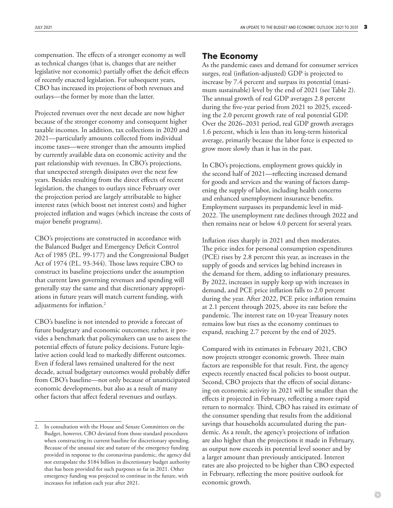compensation. The effects of a stronger economy as well as technical changes (that is, changes that are neither legislative nor economic) partially offset the deficit effects of recently enacted legislation. For subsequent years, CBO has increased its projections of both revenues and outlays—the former by more than the latter.

Projected revenues over the next decade are now higher because of the stronger economy and consequent higher taxable incomes. In addition, tax collections in 2020 and 2021—particularly amounts collected from individual income taxes—were stronger than the amounts implied by currently available data on economic activity and the past relationship with revenues. In CBO's projections, that unexpected strength dissipates over the next few years. Besides resulting from the direct effects of recent legislation, the changes to outlays since February over the projection period are largely attributable to higher interest rates (which boost net interest costs) and higher projected inflation and wages (which increase the costs of major benefit programs).

CBO's projections are constructed in accordance with the Balanced Budget and Emergency Deficit Control Act of 1985 (P.L. 99-177) and the Congressional Budget Act of 1974 (P.L. 93-344). Those laws require CBO to construct its baseline projections under the assumption that current laws governing revenues and spending will generally stay the same and that discretionary appropriations in future years will match current funding, with adjustments for inflation.<sup>2</sup>

CBO's baseline is not intended to provide a forecast of future budgetary and economic outcomes; rather, it provides a benchmark that policymakers can use to assess the potential effects of future policy decisions. Future legislative action could lead to markedly different outcomes. Even if federal laws remained unaltered for the next decade, actual budgetary outcomes would probably differ from CBO's baseline—not only because of unanticipated economic developments, but also as a result of many other factors that affect federal revenues and outlays.

### The Economy

As the pandemic eases and demand for consumer services surges, real (inflation-adjusted) GDP is projected to increase by 7.4 percent and surpass its potential (maximum sustainable) level by the end of 2021 (see [Table 2\)](#page-3-0). The annual growth of real GDP averages 2.8 percent during the five-year period from 2021 to 2025, exceeding the 2.0 percent growth rate of real potential GDP. Over the 2026–2031 period, real GDP growth averages 1.6 percent, which is less than its long-term historical average, primarily because the labor force is expected to grow more slowly than it has in the past.

In CBO's projections, employment grows quickly in the second half of 2021—reflecting increased demand for goods and services and the waning of factors dampening the supply of labor, including health concerns and enhanced unemployment insurance benefits. Employment surpasses its prepandemic level in mid-2022. The unemployment rate declines through 2022 and then remains near or below 4.0 percent for several years.

Inflation rises sharply in 2021 and then moderates. The price index for personal consumption expenditures (PCE) rises by 2.8 percent this year, as increases in the supply of goods and services lag behind increases in the demand for them, adding to inflationary pressures. By 2022, increases in supply keep up with increases in demand, and PCE price inflation falls to 2.0 percent during the year. After 2022, PCE price inflation remains at 2.1 percent through 2025, above its rate before the pandemic. The interest rate on 10-year Treasury notes remains low but rises as the economy continues to expand, reaching 2.7 percent by the end of 2025.

Compared with its estimates in February 2021, CBO now projects stronger economic growth. Three main factors are responsible for that result. First, the agency expects recently enacted fiscal policies to boost output. Second, CBO projects that the effects of social distancing on economic activity in 2021 will be smaller than the effects it projected in February, reflecting a more rapid return to normalcy. Third, CBO has raised its estimate of the consumer spending that results from the additional savings that households accumulated during the pandemic. As a result, the agency's projections of inflation are also higher than the projections it made in February, as output now exceeds its potential level sooner and by a larger amount than previously anticipated. Interest rates are also projected to be higher than CBO expected in February, reflecting the more positive outlook for economic growth.

<sup>2.</sup> In consultation with the House and Senate Committees on the Budget, however, CBO deviated from those standard procedures when constructing its current baseline for discretionary spending. Because of the unusual size and nature of the emergency funding provided in response to the coronavirus pandemic, the agency did not extrapolate the \$184 billion in discretionary budget authority that has been provided for such purposes so far in 2021. Other emergency funding was projected to continue in the future, with increases for inflation each year after 2021.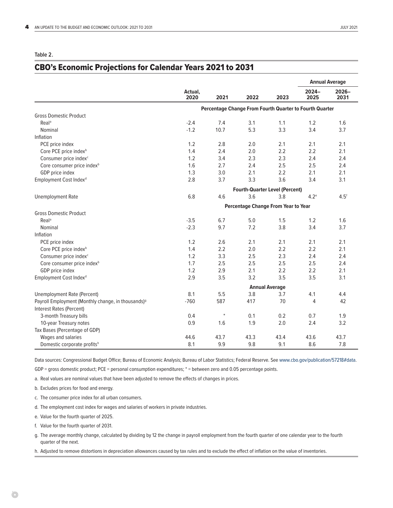#### <span id="page-3-0"></span>**Table 2.**

#### CBO's Economic Projections for Calendar Years 2021 to 2031

|                                                                |                                                         |        |      |      | <b>Annual Average</b> |                  |  |  |  |  |
|----------------------------------------------------------------|---------------------------------------------------------|--------|------|------|-----------------------|------------------|--|--|--|--|
|                                                                | Actual,<br>2020                                         | 2021   | 2022 | 2023 | $2024 -$<br>2025      | $2026 -$<br>2031 |  |  |  |  |
|                                                                | Percentage Change From Fourth Quarter to Fourth Quarter |        |      |      |                       |                  |  |  |  |  |
| <b>Gross Domestic Product</b>                                  |                                                         |        |      |      |                       |                  |  |  |  |  |
| Real <sup>a</sup>                                              | $-2.4$                                                  | 7.4    | 3.1  | 1.1  | 1.2                   | 1.6              |  |  |  |  |
| Nominal                                                        | $-1.2$                                                  | 10.7   | 5.3  | 3.3  | 3.4                   | 3.7              |  |  |  |  |
| Inflation                                                      |                                                         |        |      |      |                       |                  |  |  |  |  |
| PCE price index                                                | 1.2                                                     | 2.8    | 2.0  | 2.1  | 2.1                   | 2.1              |  |  |  |  |
| Core PCE price index <sup>b</sup>                              | 1.4                                                     | 2.4    | 2.0  | 2.2  | 2.2                   | 2.1              |  |  |  |  |
| Consumer price index <sup>c</sup>                              | 1.2                                                     | 3.4    | 2.3  | 2.3  | 2.4                   | 2.4              |  |  |  |  |
| Core consumer price index <sup>b</sup>                         | 1.6                                                     | 2.7    | 2.4  | 2.5  | 2.5                   | 2.4              |  |  |  |  |
| GDP price index                                                | 1.3                                                     | 3.0    | 2.1  | 2.2  | 2.1                   | 2.1              |  |  |  |  |
| Employment Cost Index <sup>d</sup>                             | 2.8                                                     | 3.7    | 3.3  | 3.6  | 3.4                   | 3.1              |  |  |  |  |
|                                                                | <b>Fourth-Quarter Level (Percent)</b>                   |        |      |      |                       |                  |  |  |  |  |
| <b>Unemployment Rate</b>                                       | 6.8                                                     | 4.6    | 3.6  | 3.8  | 4.2 <sup>e</sup>      | 4.5 <sup>f</sup> |  |  |  |  |
|                                                                | Percentage Change From Year to Year                     |        |      |      |                       |                  |  |  |  |  |
| <b>Gross Domestic Product</b>                                  |                                                         |        |      |      |                       |                  |  |  |  |  |
| Real <sup>a</sup>                                              | $-3.5$                                                  | 6.7    | 5.0  | 1.5  | 1.2                   | 1.6              |  |  |  |  |
| Nominal                                                        | $-2.3$                                                  | 9.7    | 7.2  | 3.8  | 3.4                   | 3.7              |  |  |  |  |
| Inflation                                                      |                                                         |        |      |      |                       |                  |  |  |  |  |
| PCE price index                                                | 1.2                                                     | 2.6    | 2.1  | 2.1  | 2.1                   | 2.1              |  |  |  |  |
| Core PCE price index <sup>b</sup>                              | 1.4                                                     | 2.2    | 2.0  | 2.2  | 2.2                   | 2.1              |  |  |  |  |
| Consumer price index <sup>c</sup>                              | 1.2                                                     | 3.3    | 2.5  | 2.3  | 2.4                   | 2.4              |  |  |  |  |
| Core consumer price index <sup>b</sup>                         | 1.7                                                     | 2.5    | 2.5  | 2.5  | 2.5                   | 2.4              |  |  |  |  |
| GDP price index                                                | 1.2                                                     | 2.9    | 2.1  | 2.2  | 2.2                   | 2.1              |  |  |  |  |
| Employment Cost Index <sup>d</sup>                             | 2.9                                                     | 3.5    | 3.2  | 3.5  | 3.5                   | 3.1              |  |  |  |  |
|                                                                | <b>Annual Average</b>                                   |        |      |      |                       |                  |  |  |  |  |
| <b>Unemployment Rate (Percent)</b>                             | 8.1                                                     | 5.5    | 3.8  | 3.7  | 4.1                   | 4.4              |  |  |  |  |
| Payroll Employment (Monthly change, in thousands) <sup>9</sup> | $-760$                                                  | 587    | 417  | 70   | 4                     | 42               |  |  |  |  |
| Interest Rates (Percent)                                       |                                                         |        |      |      |                       |                  |  |  |  |  |
| 3-month Treasury bills                                         | 0.4                                                     | $\ast$ | 0.1  | 0.2  | 0.7                   | 1.9              |  |  |  |  |
| 10-year Treasury notes                                         | 0.9                                                     | 1.6    | 1.9  | 2.0  | 2.4                   | 3.2              |  |  |  |  |
| Tax Bases (Percentage of GDP)                                  |                                                         |        |      |      |                       |                  |  |  |  |  |
| Wages and salaries                                             | 44.6                                                    | 43.7   | 43.3 | 43.4 | 43.6                  | 43.7             |  |  |  |  |
| Domestic corporate profits <sup>h</sup>                        | 8.1                                                     | 9.9    | 9.8  | 9.1  | 8.6                   | 7.8              |  |  |  |  |

Data sources: Congressional Budget Office; Bureau of Economic Analysis; Bureau of Labor Statistics; Federal Reserve. See [www.cbo.gov/publication/57218#data](http://www.cbo.gov/publication/57218#data).

GDP = gross domestic product; PCE = personal consumption expenditures; \* = between zero and 0.05 percentage points.

a. Real values are nominal values that have been adjusted to remove the effects of changes in prices.

b. Excludes prices for food and energy.

c. The consumer price index for all urban consumers.

d. The employment cost index for wages and salaries of workers in private industries.

e. Value for the fourth quarter of 2025.

f. Value for the fourth quarter of 2031.

g. The average monthly change, calculated by dividing by 12 the change in payroll employment from the fourth quarter of one calendar year to the fourth quarter of the next.

h. Adjusted to remove distortions in depreciation allowances caused by tax rules and to exclude the effect of inflation on the value of inventories.